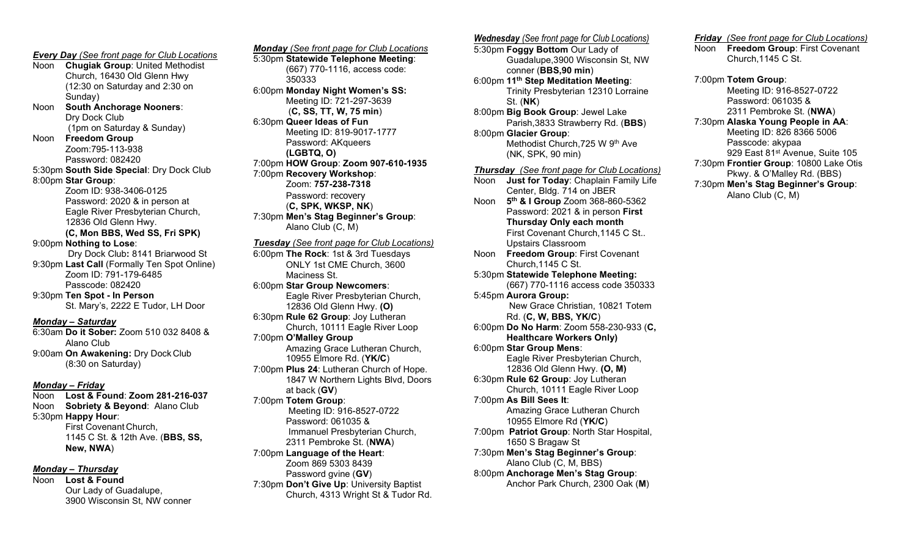**Every Day** (See front page for Club Locations Noon Chugiak Group: United Methodist Church, 16430 Old Glenn Hwy (12:30 on Saturday and 2:30 on Sunday) Noon South Anchorage Nooners: Dry Dock Club (1pm on Saturday & Sunday) Noon Freedom Group Zoom:795-113-938 Password: 082420 5:30pm South Side Special: Dry Dock Club 8:00pm Star Group: Zoom ID: 938-3406-0125 Password: 2020 & in person at Eagle River Presbyterian Church, 12836 Old Glenn Hwy. (C, Mon BBS, Wed SS, Fri SPK) 9:00pm Nothing to Lose: Dry Dock Club: 8141 Briarwood St 9:30pm Last Call (Formally Ten Spot Online) Zoom ID: 791-179-6485 Passcode: 082420 9:30pm Ten Spot - In Person St. Mary's, 2222 E Tudor, LH Door Monday – Saturday 6:30am Do it Sober: Zoom 510 032 8408 & Alano Club 9:00am On Awakening: Dry Dock Club (8:30 on Saturday)

#### Monday – Friday

Noon Lost & Found: Zoom 281-216-037 Noon Sobriety & Beyond: Alano Club 5:30pm Happy Hour: First Covenant Church, 1145 C St. & 12th Ave. (BBS, SS, New, NWA)

#### Monday – Thursday

Noon Lost & Found Our Lady of Guadalupe, 3900 Wisconsin St, NW conner

Monday (See front page for Club Locations 5:30pm Statewide Telephone Meeting: (667) 770-1116, access code: 350333 6:00pm Monday Night Women's SS: Meeting ID: 721-297-3639 (C, SS, TT, W, 75 min) 6:30pm Queer Ideas of Fun Meeting ID: 819-9017-1777 Password: AKqueers (LGBTQ, O) 7:00pm HOW Group: Zoom 907-610-1935 7:00pm Recovery Workshop: Zoom: 757-238-7318 Password: recovery (C, SPK, WKSP, NK) 7:30pm Men's Stag Beginner's Group: Alano Club (C, M) Tuesday (See front page for Club Locations) 6:00pm The Rock: 1st & 3rd Tuesdays ONLY 1st CME Church, 3600 Maciness St. 6:00pm Star Group Newcomers: Eagle River Presbyterian Church, 12836 Old Glenn Hwy. (O) 6:30pm Rule 62 Group: Joy Lutheran Church, 10111 Eagle River Loop 7:00pm O'Malley Group Amazing Grace Lutheran Church, 10955 Elmore Rd. (YK/C) 7:00pm Plus 24: Lutheran Church of Hope. 1847 W Northern Lights Blvd, Doors at back (GV) 7:00pm Totem Group: Meeting ID: 916-8527-0722 Password: 061035 & Immanuel Presbyterian Church, 2311 Pembroke St. (NWA) 7:00pm Language of the Heart: Zoom 869 5303 8439 Password gvine (GV) 7:30pm Don't Give Up: University Baptist

Church, 4313 Wright St & Tudor Rd.

Wednesday (See front page for Club Locations) 5:30pm Foggy Bottom Our Lady of Guadalupe,3900 Wisconsin St, NW conner (BBS,90 min) 6:00pm 11<sup>th</sup> Step Meditation Meeting: Trinity Presbyterian 12310 Lorraine St. (NK) 8:00pm Big Book Group: Jewel Lake Parish,3833 Strawberry Rd. (BBS) 8:00pm Glacier Group: Methodist Church,725 W 9th Ave (NK, SPK, 90 min) Thursday (See front page for Club Locations) Noon Just for Today: Chaplain Family Life Center, Bldg. 714 on JBER Noon 5<sup>th</sup> & I Group Zoom 368-860-5362 Password: 2021 & in person First Thursday Only each month First Covenant Church,1145 C St.. Upstairs Classroom Noon Freedom Group: First Covenant Church,1145 C St. 5:30pm Statewide Telephone Meeting: (667) 770-1116 access code 350333 5:45pm Aurora Group: New Grace Christian, 10821 Totem Rd. (C, W, BBS, YK/C) 6:00pm Do No Harm: Zoom 558-230-933 (C, Healthcare Workers Only) 6:00pm Star Group Mens: Eagle River Presbyterian Church, 12836 Old Glenn Hwy. (O, M) 6:30pm Rule 62 Group: Joy Lutheran Church, 10111 Eagle River Loop 7:00pm As Bill Sees It: Amazing Grace Lutheran Church 10955 Elmore Rd (YK/C) 7:00pm Patriot Group: North Star Hospital, 1650 S Bragaw St 7:30pm Men's Stag Beginner's Group: Alano Club (C, M, BBS) 8:00pm Anchorage Men's Stag Group: Anchor Park Church, 2300 Oak (M)

Friday (See front page for Club Locations) Noon Freedom Group: First Covenant Church,1145 C St.

7:00pm Totem Group: Meeting ID: 916-8527-0722 Password: 061035 & 2311 Pembroke St. (NWA) 7:30pm Alaska Young People in AA: Meeting ID: 826 8366 5006 Passcode: akypaa 929 East 81<sup>st</sup> Avenue, Suite 105 7:30pm Frontier Group: 10800 Lake Otis Pkwy. & O'Malley Rd. (BBS) 7:30pm Men's Stag Beginner's Group: Alano Club (C, M)